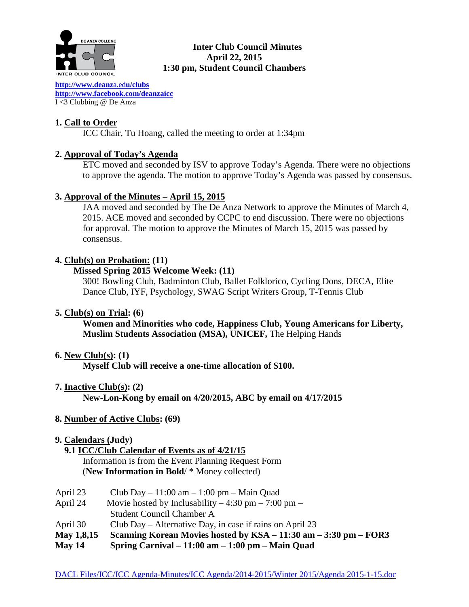

# **Inter Club Council Minutes April 22, 2015 1:30 pm, Student Council Chambers**

**[http://www.deanz](http://www.deanza.edu/clubs)**a.ed**u/clubs [http://www.facebook.com/deanzaicc](http://www.facebook.com/home.php%23!/group.php?gid=59034552686)** I <3 Clubbing @ De Anza

# **1. Call to Order**

ICC Chair, Tu Hoang, called the meeting to order at 1:34pm

# **2. Approval of Today's Agenda**

ETC moved and seconded by ISV to approve Today's Agenda. There were no objections to approve the agenda. The motion to approve Today's Agenda was passed by consensus.

# **3. Approval of the Minutes – April 15, 2015**

JAA moved and seconded by The De Anza Network to approve the Minutes of March 4, 2015. ACE moved and seconded by CCPC to end discussion. There were no objections for approval. The motion to approve the Minutes of March 15, 2015 was passed by consensus.

# **4. Club(s) on Probation: (11)**

# **Missed Spring 2015 Welcome Week: (11)**

300! Bowling Club, Badminton Club, Ballet Folklorico, Cycling Dons, DECA, Elite Dance Club, IYF, Psychology, SWAG Script Writers Group, T-Tennis Club

# **5. Club(s) on Trial: (6)**

**Women and Minorities who code, Happiness Club, Young Americans for Liberty, Muslim Students Association (MSA), UNICEF,** The Helping Hands

# **6. New Club(s): (1)**

**Myself Club will receive a one-time allocation of \$100.**

**7. Inactive Club(s): (2)**

**New-Lon-Kong by email on 4/20/2015, ABC by email on 4/17/2015**

# **8. Number of Active Clubs: (69)**

# **9. Calendars (Judy)**

 **9.1 ICC/Club Calendar of Events as of 4/21/15**

 Information is from the Event Planning Request Form (**New Information in Bold**/ \* Money collected)

- April 23 Club Day  $11:00 \text{ am} 1:00 \text{ pm} \text{Main Quad}$
- April 24 Movie hosted by Inclusability  $-4:30 \text{ pm} 7:00 \text{ pm} -$ 
	- Student Council Chamber A
- April 30 Club Day Alternative Day, in case if rains on April 23
- **May 1,8,15 Scanning Korean Movies hosted by KSA – 11:30 am – 3:30 pm – FOR3**
- **May 14 Spring Carnival – 11:00 am – 1:00 pm – Main Quad**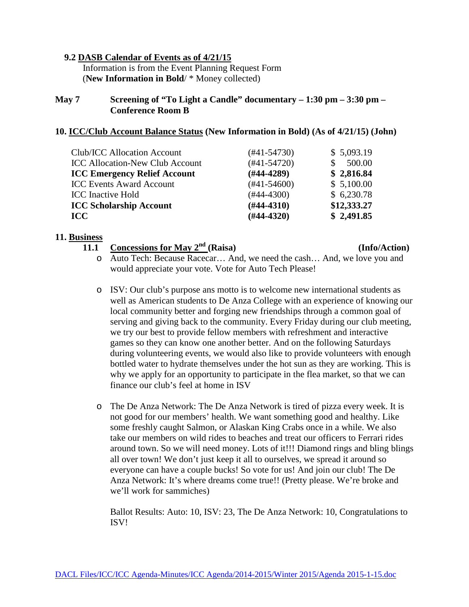## **9.2 DASB Calendar of Events as of 4/21/15**

Information is from the Event Planning Request Form (**New Information in Bold**/ \* Money collected)

## **May 7 Screening of "To Light a Candle" documentary – 1:30 pm – 3:30 pm – Conference Room B**

## **10. ICC/Club Account Balance Status (New Information in Bold) (As of 4/21/15) (John)**

| Club/ICC Allocation Account            | $(\#41 - 54730)$ | \$5,093.19  |
|----------------------------------------|------------------|-------------|
|                                        |                  |             |
| <b>ICC Allocation-New Club Account</b> | $(#41-54720)$    | 500.00      |
| <b>ICC Emergency Relief Account</b>    | $(#44-4289)$     | \$2,816.84  |
| <b>ICC Events Award Account</b>        | $(#41-54600)$    | \$5,100.00  |
| <b>ICC</b> Inactive Hold               | $(\#44 - 4300)$  | \$6,230.78  |
| <b>ICC Scholarship Account</b>         | $(#44-4310)$     | \$12,333.27 |
| <b>ICC</b>                             | $(H44-4320)$     | \$2,491.85  |

#### **11. Business**

**11.1 Concessions for May 2nd (Raisa) (Info/Action)**

- o Auto Tech: Because Racecar… And, we need the cash… And, we love you and would appreciate your vote. Vote for Auto Tech Please!
- o ISV: Our club's purpose ans motto is to welcome new international students as well as American students to De Anza College with an experience of knowing our local community better and forging new friendships through a common goal of serving and giving back to the community. Every Friday during our club meeting, we try our best to provide fellow members with refreshment and interactive games so they can know one another better. And on the following Saturdays during volunteering events, we would also like to provide volunteers with enough bottled water to hydrate themselves under the hot sun as they are working. This is why we apply for an opportunity to participate in the flea market, so that we can finance our club's feel at home in ISV
- o The De Anza Network: The De Anza Network is tired of pizza every week. It is not good for our members' health. We want something good and healthy. Like some freshly caught Salmon, or Alaskan King Crabs once in a while. We also take our members on wild rides to beaches and treat our officers to Ferrari rides around town. So we will need money. Lots of it!!! Diamond rings and bling blings all over town! We don't just keep it all to ourselves, we spread it around so everyone can have a couple bucks! So vote for us! And join our club! The De Anza Network: It's where dreams come true!! (Pretty please. We're broke and we'll work for sammiches)

Ballot Results: Auto: 10, ISV: 23, The De Anza Network: 10, Congratulations to ISV!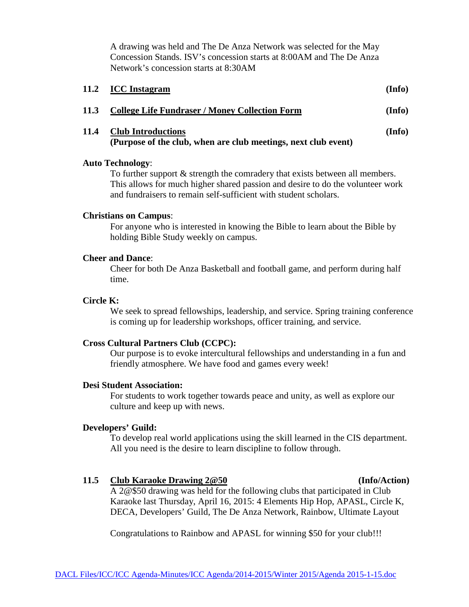A drawing was held and The De Anza Network was selected for the May Concession Stands. ISV's concession starts at 8:00AM and The De Anza Network's concession starts at 8:30AM

|      | 11.2 ICC Instagram                                                                          | (Info) |
|------|---------------------------------------------------------------------------------------------|--------|
| 11.3 | <b>College Life Fundraser / Money Collection Form</b>                                       | (Info) |
| 11.4 | <b>Club Introductions</b><br>(Purpose of the club, when are club meetings, next club event) | (Info) |

### **Auto Technology**:

To further support & strength the comradery that exists between all members. This allows for much higher shared passion and desire to do the volunteer work and fundraisers to remain self-sufficient with student scholars.

## **Christians on Campus**:

For anyone who is interested in knowing the Bible to learn about the Bible by holding Bible Study weekly on campus.

### **Cheer and Dance**:

Cheer for both De Anza Basketball and football game, and perform during half time.

### **Circle K:**

We seek to spread fellowships, leadership, and service. Spring training conference is coming up for leadership workshops, officer training, and service.

## **Cross Cultural Partners Club (CCPC):**

Our purpose is to evoke intercultural fellowships and understanding in a fun and friendly atmosphere. We have food and games every week!

## **Desi Student Association:**

For students to work together towards peace and unity, as well as explore our culture and keep up with news.

## **Developers' Guild:**

To develop real world applications using the skill learned in the CIS department. All you need is the desire to learn discipline to follow through.

## **11.5 Club Karaoke Drawing 2@50 (Info/Action)**

A 2@\$50 drawing was held for the following clubs that participated in Club Karaoke last Thursday, April 16, 2015: 4 Elements Hip Hop, APASL, Circle K, DECA, Developers' Guild, The De Anza Network, Rainbow, Ultimate Layout

Congratulations to Rainbow and APASL for winning \$50 for your club!!!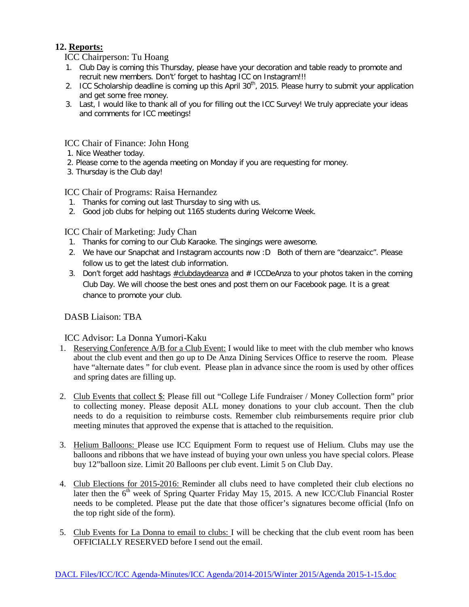## **12. Reports:**

ICC Chairperson: Tu Hoang

- 1. Club Day is coming this Thursday, please have your decoration and table ready to promote and recruit new members. Don't' forget to hashtag ICC on Instagram!!!
- 2. ICC Scholarship deadline is coming up this April 30<sup>th</sup>, 2015. Please hurry to submit your application and get some free money.
- 3. Last, I would like to thank all of you for filling out the ICC Survey! We truly appreciate your ideas and comments for ICC meetings!

## ICC Chair of Finance: John Hong

- 1. Nice Weather today.
- 2. Please come to the agenda meeting on Monday if you are requesting for money.
- 3. Thursday is the Club day!

# ICC Chair of Programs: Raisa Hernandez

- 1. Thanks for coming out last Thursday to sing with us.
- 2. Good job clubs for helping out 1165 students during Welcome Week.

# ICC Chair of Marketing: Judy Chan

- 1. Thanks for coming to our Club Karaoke. The singings were awesome.
- 2. We have our Snapchat and Instagram accounts now :D Both of them are "deanzaicc". Please follow us to get the latest club information.
- 3. Don't forget add hashtags  $\#$ clubdaydeanza and  $\#$  ICCDeAnza to your photos taken in the coming Club Day. We will choose the best ones and post them on our Facebook page. It is a great chance to promote your club.

# DASB Liaison: TBA

# ICC Advisor: La Donna Yumori-Kaku

- 1. Reserving Conference A/B for a Club Event: I would like to meet with the club member who knows about the club event and then go up to De Anza Dining Services Office to reserve the room. Please have "alternate dates " for club event. Please plan in advance since the room is used by other offices and spring dates are filling up.
- 2. Club Events that collect \$: Please fill out "College Life Fundraiser / Money Collection form" prior to collecting money. Please deposit ALL money donations to your club account. Then the club needs to do a requisition to reimburse costs. Remember club reimbursements require prior club meeting minutes that approved the expense that is attached to the requisition.
- 3. Helium Balloons: Please use ICC Equipment Form to request use of Helium. Clubs may use the balloons and ribbons that we have instead of buying your own unless you have special colors. Please buy 12"balloon size. Limit 20 Balloons per club event. Limit 5 on Club Day.
- 4. Club Elections for 2015-2016: Reminder all clubs need to have completed their club elections no later then the  $6<sup>th</sup>$  week of Spring Quarter Friday May 15, 2015. A new ICC/Club Financial Roster needs to be completed. Please put the date that those officer's signatures become official (Info on the top right side of the form).
- 5. Club Events for La Donna to email to clubs: I will be checking that the club event room has been OFFICIALLY RESERVED before I send out the email.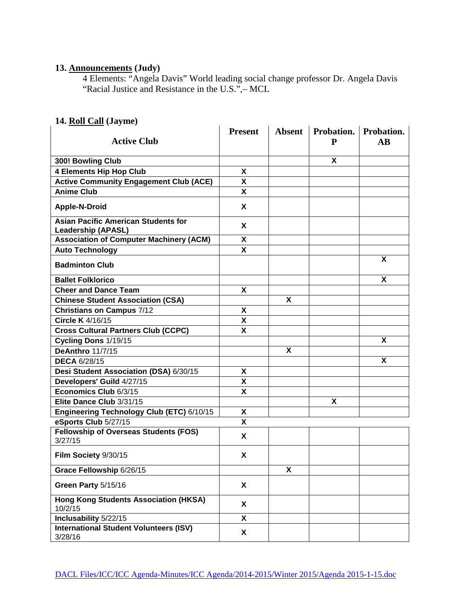### **13. Announcements (Judy)**

4 Elements: "Angela Davis" World leading social change professor Dr. Angela Davis "Racial Justice and Resistance in the U.S.",– MCL

# **14. Roll Call (Jayme)**

|                                                                         | <b>Present</b> | <b>Absent</b>      | Probation. | Probation.             |
|-------------------------------------------------------------------------|----------------|--------------------|------------|------------------------|
| <b>Active Club</b>                                                      |                |                    | P          | $\mathbf{A}\mathbf{B}$ |
| 300! Bowling Club                                                       |                |                    | X          |                        |
| <b>4 Elements Hip Hop Club</b>                                          | X              |                    |            |                        |
| <b>Active Community Engagement Club (ACE)</b>                           | X              |                    |            |                        |
| <b>Anime Club</b>                                                       | X              |                    |            |                        |
| <b>Apple-N-Droid</b>                                                    | X              |                    |            |                        |
| <b>Asian Pacific American Students for</b><br><b>Leadership (APASL)</b> | X              |                    |            |                        |
| <b>Association of Computer Machinery (ACM)</b>                          | X              |                    |            |                        |
| <b>Auto Technology</b>                                                  | X              |                    |            |                        |
| <b>Badminton Club</b>                                                   |                |                    |            | X                      |
| <b>Ballet Folklorico</b>                                                |                |                    |            | X                      |
| <b>Cheer and Dance Team</b>                                             | X              |                    |            |                        |
| <b>Chinese Student Association (CSA)</b>                                |                | X                  |            |                        |
| <b>Christians on Campus 7/12</b>                                        | X              |                    |            |                        |
| Circle K 4/16/15                                                        | X              |                    |            |                        |
| <b>Cross Cultural Partners Club (CCPC)</b>                              | X              |                    |            |                        |
| Cycling Dons 1/19/15                                                    |                |                    |            | X                      |
| <b>DeAnthro 11/7/15</b>                                                 |                | X                  |            |                        |
| <b>DECA 6/28/15</b>                                                     |                |                    |            | X                      |
| Desi Student Association (DSA) 6/30/15                                  | X              |                    |            |                        |
| Developers' Guild 4/27/15                                               | X              |                    |            |                        |
| Economics Club 6/3/15                                                   | X              |                    |            |                        |
| Elite Dance Club 3/31/15                                                |                |                    | X          |                        |
| Engineering Technology Club (ETC) 6/10/15                               | X              |                    |            |                        |
| eSports Club 5/27/15                                                    | X              |                    |            |                        |
| <b>Fellowship of Overseas Students (FOS)</b><br>3/27/15                 | X              |                    |            |                        |
| Film Society 9/30/15                                                    | X              |                    |            |                        |
| Grace Fellowship 6/26/15                                                |                | $\pmb{\mathsf{X}}$ |            |                        |
| Green Party 5/15/16                                                     | X              |                    |            |                        |
| <b>Hong Kong Students Association (HKSA)</b><br>10/2/15                 | X              |                    |            |                        |
| Inclusability 5/22/15                                                   | X              |                    |            |                        |
| <b>International Student Volunteers (ISV)</b><br>3/28/16                | X              |                    |            |                        |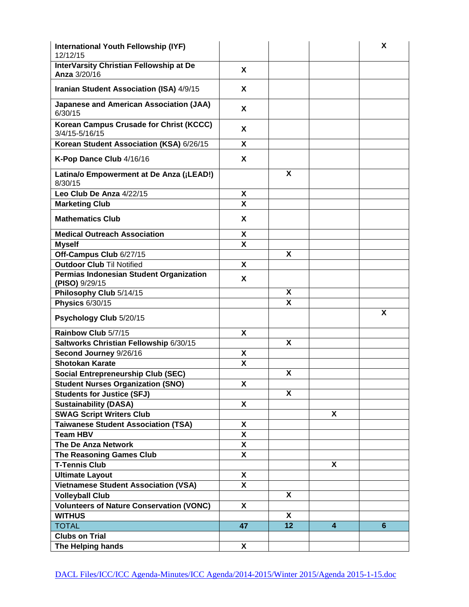| International Youth Fellowship (IYF)<br>12/12/15          |    |    |                         | X |
|-----------------------------------------------------------|----|----|-------------------------|---|
| InterVarsity Christian Fellowship at De<br>Anza 3/20/16   | X  |    |                         |   |
| Iranian Student Association (ISA) 4/9/15                  | X  |    |                         |   |
| <b>Japanese and American Association (JAA)</b><br>6/30/15 | X  |    |                         |   |
| Korean Campus Crusade for Christ (KCCC)<br>3/4/15-5/16/15 | X  |    |                         |   |
| Korean Student Association (KSA) 6/26/15                  | X  |    |                         |   |
| K-Pop Dance Club 4/16/16                                  | X  |    |                         |   |
| Latina/o Empowerment at De Anza (¡LEAD!)<br>8/30/15       |    | X  |                         |   |
| Leo Club De Anza 4/22/15                                  | X  |    |                         |   |
| <b>Marketing Club</b>                                     | X  |    |                         |   |
| <b>Mathematics Club</b>                                   | X  |    |                         |   |
| <b>Medical Outreach Association</b>                       | X  |    |                         |   |
| <b>Myself</b>                                             | X  |    |                         |   |
| Off-Campus Club 6/27/15                                   |    | X  |                         |   |
| <b>Outdoor Club Til Notified</b>                          | X  |    |                         |   |
| Permias Indonesian Student Organization<br>(PISO) 9/29/15 | X  |    |                         |   |
| Philosophy Club 5/14/15                                   |    | X  |                         |   |
| <b>Physics 6/30/15</b>                                    |    | X  |                         |   |
| Psychology Club 5/20/15                                   |    |    |                         | X |
| Rainbow Club 5/7/15                                       | X  |    |                         |   |
| Saltworks Christian Fellowship 6/30/15                    |    | X  |                         |   |
| Second Journey 9/26/16                                    | X  |    |                         |   |
| <b>Shotokan Karate</b>                                    | X  |    |                         |   |
| <b>Social Entrepreneurship Club (SEC)</b>                 |    | X  |                         |   |
| <b>Student Nurses Organization (SNO)</b>                  | X  |    |                         |   |
| <b>Students for Justice (SFJ)</b>                         |    | X  |                         |   |
| <b>Sustainability (DASA)</b>                              | X  |    |                         |   |
| <b>SWAG Script Writers Club</b>                           |    |    | X                       |   |
| <b>Taiwanese Student Association (TSA)</b>                | X  |    |                         |   |
| <b>Team HBV</b>                                           | X  |    |                         |   |
| The De Anza Network                                       | X  |    |                         |   |
| <b>The Reasoning Games Club</b>                           | X  |    |                         |   |
| <b>T-Tennis Club</b>                                      |    |    | X                       |   |
| <b>Ultimate Layout</b>                                    | X  |    |                         |   |
| <b>Vietnamese Student Association (VSA)</b>               | X  |    |                         |   |
| <b>Volleyball Club</b>                                    |    | X  |                         |   |
| <b>Volunteers of Nature Conservation (VONC)</b>           | X  |    |                         |   |
| <b>WITHUS</b>                                             |    | X  |                         |   |
| <b>TOTAL</b>                                              | 47 | 12 | $\overline{\mathbf{4}}$ | 6 |
| <b>Clubs on Trial</b>                                     |    |    |                         |   |
| The Helping hands                                         | X  |    |                         |   |
|                                                           |    |    |                         |   |